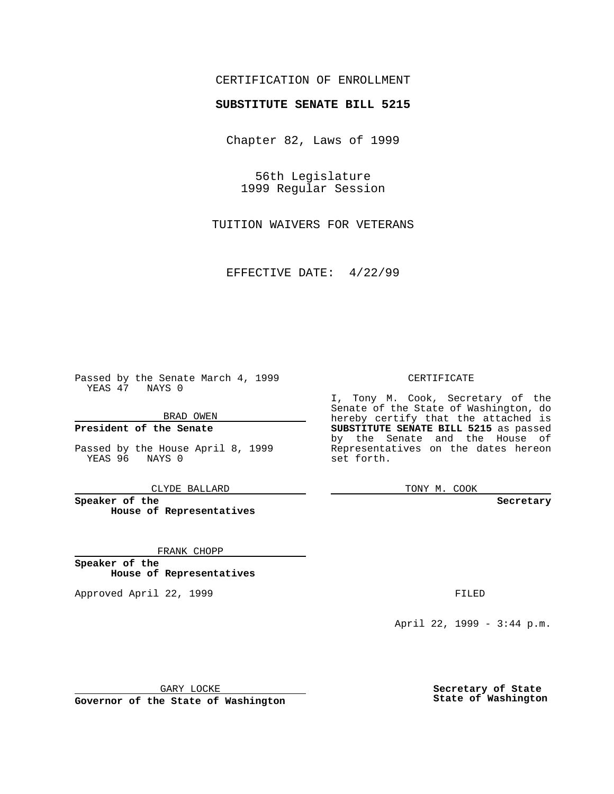# CERTIFICATION OF ENROLLMENT

# **SUBSTITUTE SENATE BILL 5215**

Chapter 82, Laws of 1999

56th Legislature 1999 Regular Session

TUITION WAIVERS FOR VETERANS

EFFECTIVE DATE: 4/22/99

Passed by the Senate March 4, 1999 YEAS 47 NAYS 0

BRAD OWEN

**President of the Senate**

Passed by the House April 8, 1999 YEAS 96 NAYS 0

CLYDE BALLARD

**Speaker of the House of Representatives**

FRANK CHOPP

**Speaker of the House of Representatives**

Approved April 22, 1999 **FILED** 

### CERTIFICATE

I, Tony M. Cook, Secretary of the Senate of the State of Washington, do hereby certify that the attached is **SUBSTITUTE SENATE BILL 5215** as passed by the Senate and the House of Representatives on the dates hereon set forth.

TONY M. COOK

#### **Secretary**

April 22, 1999 - 3:44 p.m.

GARY LOCKE

**Governor of the State of Washington**

**Secretary of State State of Washington**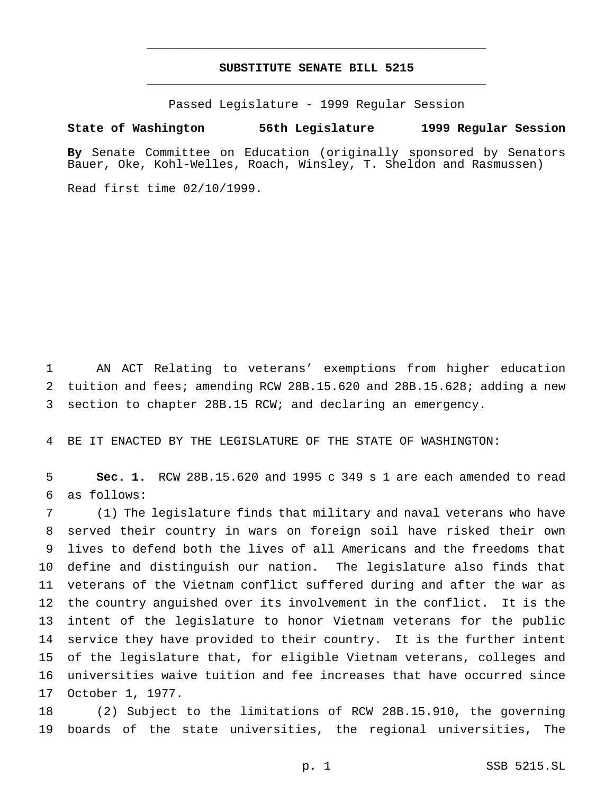# **SUBSTITUTE SENATE BILL 5215** \_\_\_\_\_\_\_\_\_\_\_\_\_\_\_\_\_\_\_\_\_\_\_\_\_\_\_\_\_\_\_\_\_\_\_\_\_\_\_\_\_\_\_\_\_\_\_

\_\_\_\_\_\_\_\_\_\_\_\_\_\_\_\_\_\_\_\_\_\_\_\_\_\_\_\_\_\_\_\_\_\_\_\_\_\_\_\_\_\_\_\_\_\_\_

Passed Legislature - 1999 Regular Session

#### **State of Washington 56th Legislature 1999 Regular Session**

**By** Senate Committee on Education (originally sponsored by Senators Bauer, Oke, Kohl-Welles, Roach, Winsley, T. Sheldon and Rasmussen)

Read first time 02/10/1999.

 AN ACT Relating to veterans' exemptions from higher education tuition and fees; amending RCW 28B.15.620 and 28B.15.628; adding a new section to chapter 28B.15 RCW; and declaring an emergency.

BE IT ENACTED BY THE LEGISLATURE OF THE STATE OF WASHINGTON:

 **Sec. 1.** RCW 28B.15.620 and 1995 c 349 s 1 are each amended to read as follows:

 (1) The legislature finds that military and naval veterans who have served their country in wars on foreign soil have risked their own lives to defend both the lives of all Americans and the freedoms that define and distinguish our nation. The legislature also finds that veterans of the Vietnam conflict suffered during and after the war as the country anguished over its involvement in the conflict. It is the intent of the legislature to honor Vietnam veterans for the public service they have provided to their country. It is the further intent of the legislature that, for eligible Vietnam veterans, colleges and universities waive tuition and fee increases that have occurred since October 1, 1977.

 (2) Subject to the limitations of RCW 28B.15.910, the governing boards of the state universities, the regional universities, The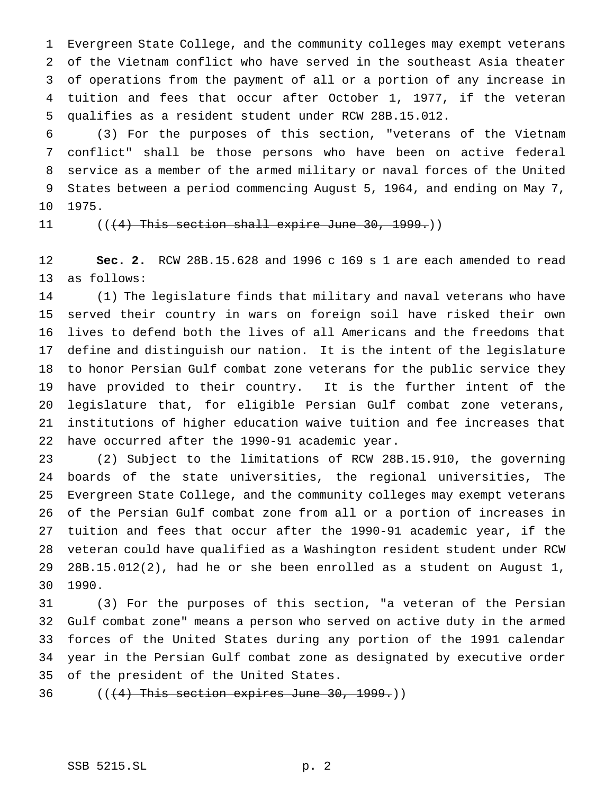Evergreen State College, and the community colleges may exempt veterans of the Vietnam conflict who have served in the southeast Asia theater of operations from the payment of all or a portion of any increase in tuition and fees that occur after October 1, 1977, if the veteran qualifies as a resident student under RCW 28B.15.012.

 (3) For the purposes of this section, "veterans of the Vietnam conflict" shall be those persons who have been on active federal service as a member of the armed military or naval forces of the United States between a period commencing August 5, 1964, and ending on May 7, 1975.

11 ((<del>(4) This section shall expire June 30, 1999.</del>))

 **Sec. 2.** RCW 28B.15.628 and 1996 c 169 s 1 are each amended to read as follows:

 (1) The legislature finds that military and naval veterans who have served their country in wars on foreign soil have risked their own lives to defend both the lives of all Americans and the freedoms that define and distinguish our nation. It is the intent of the legislature to honor Persian Gulf combat zone veterans for the public service they have provided to their country. It is the further intent of the legislature that, for eligible Persian Gulf combat zone veterans, institutions of higher education waive tuition and fee increases that have occurred after the 1990-91 academic year.

 (2) Subject to the limitations of RCW 28B.15.910, the governing boards of the state universities, the regional universities, The Evergreen State College, and the community colleges may exempt veterans of the Persian Gulf combat zone from all or a portion of increases in tuition and fees that occur after the 1990-91 academic year, if the veteran could have qualified as a Washington resident student under RCW 28B.15.012(2), had he or she been enrolled as a student on August 1, 1990.

 (3) For the purposes of this section, "a veteran of the Persian Gulf combat zone" means a person who served on active duty in the armed forces of the United States during any portion of the 1991 calendar year in the Persian Gulf combat zone as designated by executive order of the president of the United States.

36  $((+4)$  This section expires June 30, 1999.)